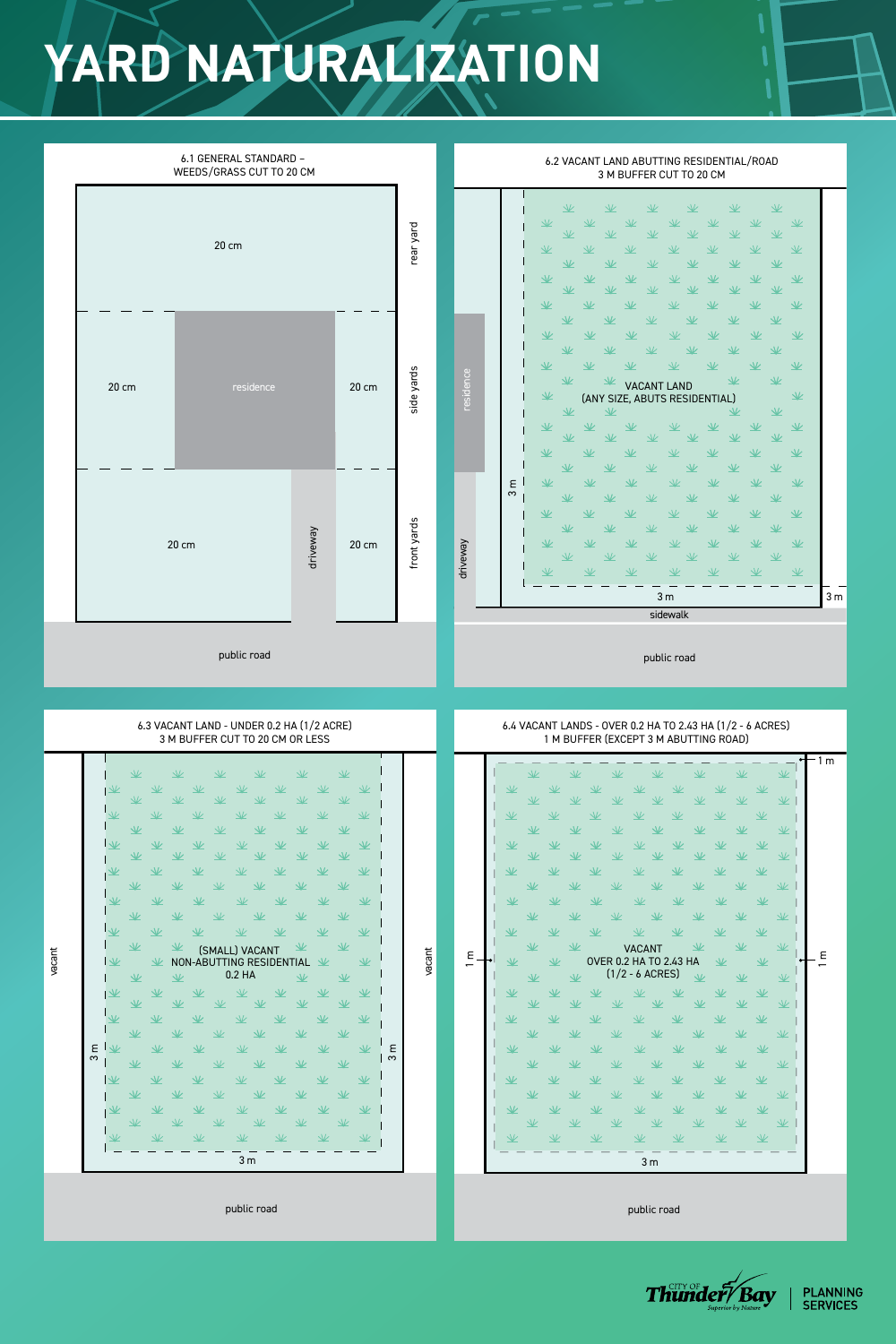## **YARD NATURALIZATION**

## 6.1 GENERAL STANDARD – 6.2 VACANT LAND ABUTTING RESIDENTIAL/ROAD WEEDS/GRASS CUT TO 20 CM 3 M BUFFER CUT TO 20 CM  $\underline{\mathcal{W}}$  $\underline{\mathcal{V}}$ 业  $\underline{\mathcal{V}}$  $\sqrt{ }$  $\sqrt{2}$  $\underline{\mathcal{V}}$  $\underline{\mathcal{V}}$  $\frac{1}{2}$ 业  $\sqrt{2}$ rear yard  $\sqrt{2}$  $\sqrt{2}$ side yards rear yard  $\underline{\mathcal{V}}$  $\underline{\mathcal{V}}$  $\sqrt{2}$  $\sqrt{ }$  $\sqrt{2}$  $\sqrt{2}$ 20 cm  $\underline{\mathcal{K}}$ 业  $\frac{1}{2}$  $\sqrt{2}$  $\sqrt{\phantom{a}}$  $\sqrt{\phantom{a}}$ ヽしノ  $\underline{\mathcal{N}}$  $\sqrt{\phantom{a}}$  $\sqrt{L}$  $\sqrt{V}$  $\underline{\mathcal{K}}$ 业  $\sqrt{ }$  $\sqrt{2}$ 业 业  $\sqrt{2}$  $\sqrt{V}$ 业  $\sqrt{2}$  $\frac{1}{2}$  $\sqrt{\phantom{a}}$ 业  $\overline{\mathcal{W}}$  $\sqrt{L}$  $\underline{\mathcal{V}}$ 业 业  $\Delta L$  $\sqrt{\phantom{a}}$  $\sqrt{\frac{1}{2}}$  $\underline{\mathsf{V}}$  $\underline{\mathcal{X}}$  $\sqrt{ }$  $\sqrt{2}$  $\sqrt{ }$ 业 业 业  $\underline{\mathcal{Y}}$ 业  $\sqrt{2}$  $\sqrt{ }$ side yards residence residence  $\underline{\mathcal{K}}$ 业  $\underline{\mathcal{L}}$  $\underline{\mathcal{N}}$ VACANT LAND 20 cm residence 20 cm  $\underline{\mathcal{K}}$  $\underline{\mathcal{V}}$ (ANY SIZE, ABUTS RESIDENTIAL) 业 业  $\underline{\mathcal{K}}$ 业  $\underline{\mathcal{X}}$ 业 业  $\sqrt{2}$  $\sqrt{ }$  $\sqrt{ }$  $\Delta l$  $\sqrt{ }$  $\underline{\mathcal{W}}$  $\Delta l$  $\underline{\mathcal{N}}$ 业 业  $\underline{\mathcal{V}}$ 业  $\frac{1}{2}$  $\underline{\mathcal{W}}$  $\sim \Delta L$  $\mathcal{L} = \mathcal{L} \mathcal{L} \mathcal{L}$  $\sim$   $\Delta L$  $\sim \Delta L$  $\mathcal{M}$  $\mathbf{M}$

 $\overline{\phantom{m}}$  and  $\overline{\phantom{m}}$  and  $\overline{\phantom{m}}$ 

|        | driveway<br>20 cm<br>$20 \text{ cm}$<br>public road                                                                                                                                                                                                                                                                                                                                                                                                                                                                                                                                                                                                                                                                                                                                                                                                                                                                                                                                                                                                                                                                                                                                                                                                                                                                                                                                                                                                                                                                                                                                                                                                                                                                                                                                          | yards<br>front                                                                                                         | $\mathbf{v}$<br>$\mathbf{w}$<br>业<br>业<br>业<br>业<br>$\sqrt{ }$<br>$\mathcal{V}$<br>$\sqrt{\frac{1}{2}}$<br>3 <sub>m</sub><br>业<br>$\overline{\mathcal{K}}$<br>$\sqrt{ }$<br>$\sqrt{2}$<br>$\sqrt{2}$<br>$\sqrt{2}$<br>业<br>$\frac{1}{2}$<br>$\frac{1}{2}$<br>$\underline{\vee}$<br>业<br>业<br>$\underline{\mathcal{W}}$<br>$\sqrt{2}$<br>$\sqrt{ }$<br>$\sqrt{2}$<br>$\sqrt{k}$<br>$\sqrt{V}$<br>$\Delta\!V$<br>driveway<br>业<br>$\frac{1}{2}$<br>业<br>$\sqrt{k}$<br>$\mathcal{V}$<br>$\Delta\!V$<br>$\underline{\mathcal{W}}$<br>$\underline{\mathcal{N}}$<br>业<br>$\sqrt{k}$<br>$\mathcal{V}$<br>$\sqrt{2}$<br>$\sqrt{\frac{2}{2}}$<br>$\frac{1}{2}$<br>$\sqrt{2}$<br>$\sqrt{\frac{2}{3}}$<br>业<br>$\sqrt{2}$<br>$\sqrt{2}$<br>$\Delta\mathcal{L}$<br>3m<br>3m<br>sidewalk<br>public road                                                                                                                                                                                                                                                                                                                                                                                                                                                                                                                                                                                                                                                                                                                                                                                                                                                                                                                                                                                                                                                          |  |  |  |  |  |  |  |  |  |
|--------|----------------------------------------------------------------------------------------------------------------------------------------------------------------------------------------------------------------------------------------------------------------------------------------------------------------------------------------------------------------------------------------------------------------------------------------------------------------------------------------------------------------------------------------------------------------------------------------------------------------------------------------------------------------------------------------------------------------------------------------------------------------------------------------------------------------------------------------------------------------------------------------------------------------------------------------------------------------------------------------------------------------------------------------------------------------------------------------------------------------------------------------------------------------------------------------------------------------------------------------------------------------------------------------------------------------------------------------------------------------------------------------------------------------------------------------------------------------------------------------------------------------------------------------------------------------------------------------------------------------------------------------------------------------------------------------------------------------------------------------------------------------------------------------------|------------------------------------------------------------------------------------------------------------------------|-----------------------------------------------------------------------------------------------------------------------------------------------------------------------------------------------------------------------------------------------------------------------------------------------------------------------------------------------------------------------------------------------------------------------------------------------------------------------------------------------------------------------------------------------------------------------------------------------------------------------------------------------------------------------------------------------------------------------------------------------------------------------------------------------------------------------------------------------------------------------------------------------------------------------------------------------------------------------------------------------------------------------------------------------------------------------------------------------------------------------------------------------------------------------------------------------------------------------------------------------------------------------------------------------------------------------------------------------------------------------------------------------------------------------------------------------------------------------------------------------------------------------------------------------------------------------------------------------------------------------------------------------------------------------------------------------------------------------------------------------------------------------------------------------------------------------------------------------------|--|--|--|--|--|--|--|--|--|
|        | 6.3 VACANT LAND - UNDER 0.2 HA (1/2 ACRE)<br>3 M BUFFER CUT TO 20 CM OR LESS                                                                                                                                                                                                                                                                                                                                                                                                                                                                                                                                                                                                                                                                                                                                                                                                                                                                                                                                                                                                                                                                                                                                                                                                                                                                                                                                                                                                                                                                                                                                                                                                                                                                                                                 | 6.4 VACANT LANDS - OVER 0.2 HA TO 2.43 HA (1/2 - 6 ACRES)<br>1 M BUFFER (EXCEPT 3 M ABUTTING ROAD)<br>$\mathbf{H}$ 1 m |                                                                                                                                                                                                                                                                                                                                                                                                                                                                                                                                                                                                                                                                                                                                                                                                                                                                                                                                                                                                                                                                                                                                                                                                                                                                                                                                                                                                                                                                                                                                                                                                                                                                                                                                                                                                                                                     |  |  |  |  |  |  |  |  |  |
| vacant | $\sqrt{2}$<br>$\sqrt{2}$<br>$\sqrt{2}$<br>$\sqrt{2}$<br>$\Delta\mathcal{L}$<br>$\Delta\mathcal{L}$<br>业<br>$\underline{\mathcal{N}}$<br>$\sqrt{\frac{2}{2}}$<br>$\sqrt{ }$<br>$\underline{\mathcal{W}}$<br>$\mathcal{V}$<br>业<br>$\mathcal{V}$<br>$\sqrt{\frac{1}{2}}$<br>$\mathcal{V}$<br>$\mathcal{V}$<br>$\sqrt{V}$<br>$\sqrt{\frac{1}{2}}$<br>$\sqrt{\frac{1}{2}}$<br>$\sqrt{V}$<br>$\Delta L$<br>业<br>$\sqrt{\frac{2}{2}}$<br>$\Delta\!V$<br>$\sqrt{2}$<br>$\Delta\mathcal{L}$<br>业<br>$\mathcal{N}$<br>$\underline{\mathcal{W}}$<br>$\sqrt{\frac{1}{2}}$<br>$\mathcal{V}$<br>$\mathcal{V}$<br>$\Delta \nu$<br>$\sqrt{ }$<br>$\Delta\!V$<br>$\underline{\mathcal{W}}$<br>$\mathcal{N}$<br>$\frac{1}{2}$<br>$\mathcal{N}$<br>$\sqrt{\frac{2}{2}}$<br>$\mathcal{Y}$<br>$\mathcal{V}$<br>$\sqrt{ }$<br>$\Delta\mathcal{L}$<br>$\sqrt{ }$<br>$\Delta\!V$<br>$\Delta \nu$<br>$\Delta\mathcal{L}$<br>业<br>$\underline{\mathcal{W}}$<br>$\underline{\mathcal{W}}$<br>$\Delta L$<br>$\sqrt{\frac{1}{2}}$<br>$\sqrt{2}$<br>$\mathcal{V}$<br>$\underline{\mathscr{K}}$<br>$\sqrt{2}$<br>$\underline{\mathcal{K}}$<br>$\mathcal{N}$<br>(SMALL) VACANT<br>$\mathcal{V}$<br>$\mathcal{N}$<br>NON-ABUTTING RESIDENTIAL<br>0.2 HA<br>$\underline{\mathcal{W}}$<br>业<br>$\Delta\mathcal{L}$<br>$\sqrt{2}$<br>业<br>$\Delta \nu$<br>$\sqrt{\frac{2}{2}}$<br>业<br>业<br>$\sqrt{ }$<br>$\underline{\mathcal{W}}$<br>ヽノノ<br>$\Delta\mathcal{L}$<br>E<br>$\overline{\mathcal{W}}$<br>业<br>$\sqrt{k}$<br>$\sqrt{2}$<br>$\infty$<br>$\sqrt{V}$<br>$\sqrt{V}$<br>业<br>$\sqrt{2}$<br>$\sqrt{2}$<br>$\sqrt{\phantom{a}}$<br>$\Delta\mathcal{L}$<br>$\sqrt{\nu}$<br>$\sqrt{\phantom{a}}$<br>$\sqrt{k}$<br>$\sqrt{ }$<br>$\mathcal{V}$<br>$\sqrt{\phantom{a}}$<br>$\Delta \nu$<br>$\overline{\mathscr{K}}$<br>业<br>3m | vacant<br>E<br>$\infty$                                                                                                | $\sqrt{2}$<br>$\frac{1}{2}$<br>$\Delta\mathcal{L}$<br>$\Delta\mathcal{L}$<br>$\sqrt{2}$<br>$\sqrt{\frac{2}{3}}$<br>$\underline{\mathcal{W}}$<br>$\sqrt{\phantom{a}}$<br>$\underline{\mathcal{N}}$<br>业<br>$\mathcal{V}$<br>$\sqrt{ }$<br>$\sqrt{\frac{1}{2}}$<br>$\sqrt{ }$<br>$\sqrt{2}$<br>业<br>$\sqrt{2}$<br>$\sqrt{2}$<br>$\sqrt{2}$<br>$\mathcal{V}$<br>$\sqrt{k}$<br>$\sqrt{2}$<br>$\underline{\mathcal{Y}}$<br>$\frac{1}{2}$<br>$\mathcal{V}$<br>$\sqrt{ }$<br>$\mathcal{V}$<br>$\Delta\!V$<br>$\mathcal{V}$<br>业<br>$\sqrt{\frac{1}{2}}$<br>$\frac{1}{2}$<br>$\sqrt{2}$<br>$\sqrt{\frac{2}{2}}$<br>业<br>$\sqrt{k}$<br>$\sqrt{ }$<br>$\sqrt{k}$<br>$\mathcal{V}$<br>$\sqrt{\frac{1}{2}}$<br>$\sqrt{ }$<br>$\frac{1}{2}$<br>$\sqrt{2}$<br>$\sqrt{2}$<br>$\sqrt{k}$<br>$\sqrt{2}$<br>$\mathcal{V}$<br>$\underline{\vee}$<br>业<br>$\sqrt{\frac{1}{2}}$<br>$\sqrt{\frac{1}{2}}$<br>$\mathcal{N}$<br>$\sqrt{\frac{1}{2}}$<br>$\sqrt{2}$<br>$\sqrt{\frac{1}{2}}$<br>业<br>$\mathcal{N}$<br>$\Delta \nu$<br><b>VACANT</b><br>$\epsilon$<br>$\epsilon$<br><b>OVER 0.2 HA TO 2.43 HA</b><br>业<br>╈<br>$\mathcal{V}$<br>$\mathcal V$<br>业<br>$(1/2 - 6$ ACRES)<br>$\sqrt{V}$<br>$\Delta L$<br>$\Delta L$<br>业<br>业<br>$\sqrt{\frac{1}{2}}$<br>$\mathcal{V}$<br>$\sqrt{\frac{1}{2}}$<br>$\mathcal{N}$<br>业<br>$\sqrt{\frac{2}{2}}$<br>$\mathcal{V}$<br>$\mathcal{N}$<br>$\sqrt{\phantom{a}}$<br>$\frac{1}{2}$<br>NZ<br>$\sqrt{\frac{2}{\pi}}$<br>业<br>$\sqrt{2}$<br>业<br>$\Delta\mathcal{L}$<br>ヽレ<br>$\frac{1}{2}$<br>$\mathcal{V}$<br>$\sqrt{ }$<br>$\Delta\mathcal{L}$<br>$\sqrt{ }$<br>$\Delta\!V$<br>$\sqrt{2}$<br>$\sqrt{2}$<br>$\Delta\mathcal{L}$<br>ヽレ<br>$\sqrt{\frac{2}{3}}$<br>$\Delta\!V$<br>$\sqrt{ }$<br>$\sqrt{\frac{1}{2}}$<br>$\mathcal{V}$<br>$\Delta\!$<br>$\mathcal{V}$<br>NZ<br>业<br>$\underline{\mathcal{W}}$<br>$\sqrt{2}$<br>3m |  |  |  |  |  |  |  |  |  |
|        | public road                                                                                                                                                                                                                                                                                                                                                                                                                                                                                                                                                                                                                                                                                                                                                                                                                                                                                                                                                                                                                                                                                                                                                                                                                                                                                                                                                                                                                                                                                                                                                                                                                                                                                                                                                                                  | public road                                                                                                            |                                                                                                                                                                                                                                                                                                                                                                                                                                                                                                                                                                                                                                                                                                                                                                                                                                                                                                                                                                                                                                                                                                                                                                                                                                                                                                                                                                                                                                                                                                                                                                                                                                                                                                                                                                                                                                                     |  |  |  |  |  |  |  |  |  |